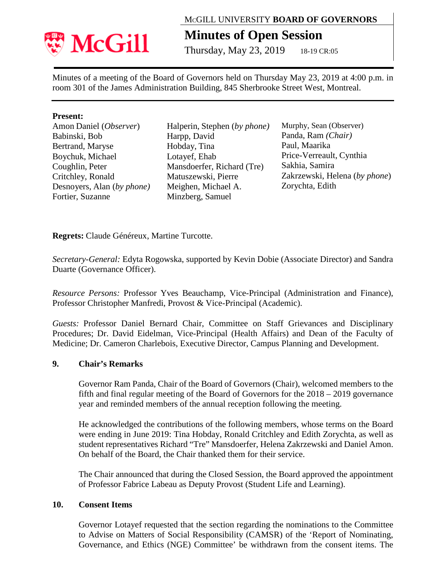

# MCGILL UNIVERSITY **BOARD OF GOVERNORS**

# **Minutes of Open Session**

Thursday, May 23, 2019 18-19 CR:05

Minutes of a meeting of the Board of Governors held on Thursday May 23, 2019 at 4:00 p.m. in room 301 of the James Administration Building, 845 Sherbrooke Street West, Montreal.

### **Present:**

| Amon Daniel (Observer)     |
|----------------------------|
| Babinski, Bob              |
| Bertrand, Maryse           |
| Boychuk, Michael           |
| Coughlin, Peter            |
| Critchley, Ronald          |
| Desnoyers, Alan (by phone) |
| Fortier, Suzanne           |
|                            |

Halperin, Stephen (*by phone)* Harpp, David Hobday, Tina Lotayef, Ehab Mansdoerfer, Richard (Tre) Matuszewski, Pierre Meighen, Michael A. Minzberg, Samuel

Murphy, Sean (Observer) Panda, Ram *(Chair)* Paul, Maarika Price-Verreault, Cynthia Sakhia, Samira Zakrzewski, Helena (*by phone*) Zorychta, Edith

**Regrets:** Claude Généreux, Martine Turcotte.

*Secretary-General:* Edyta Rogowska, supported by Kevin Dobie (Associate Director) and Sandra Duarte (Governance Officer).

*Resource Persons:* Professor Yves Beauchamp, Vice-Principal (Administration and Finance), Professor Christopher Manfredi, Provost & Vice-Principal (Academic).

*Guests:* Professor Daniel Bernard Chair, Committee on Staff Grievances and Disciplinary Procedures; Dr. David Eidelman, Vice-Principal (Health Affairs) and Dean of the Faculty of Medicine; Dr. Cameron Charlebois, Executive Director, Campus Planning and Development.

### **9. Chair's Remarks**

Governor Ram Panda, Chair of the Board of Governors (Chair), welcomed members to the fifth and final regular meeting of the Board of Governors for the 2018 – 2019 governance year and reminded members of the annual reception following the meeting.

He acknowledged the contributions of the following members, whose terms on the Board were ending in June 2019: Tina Hobday, Ronald Critchley and Edith Zorychta, as well as student representatives Richard "Tre" Mansdoerfer, Helena Zakrzewski and Daniel Amon. On behalf of the Board, the Chair thanked them for their service.

The Chair announced that during the Closed Session, the Board approved the appointment of Professor Fabrice Labeau as Deputy Provost (Student Life and Learning).

#### **10. Consent Items**

Governor Lotayef requested that the section regarding the nominations to the Committee to Advise on Matters of Social Responsibility (CAMSR) of the 'Report of Nominating, Governance, and Ethics (NGE) Committee' be withdrawn from the consent items. The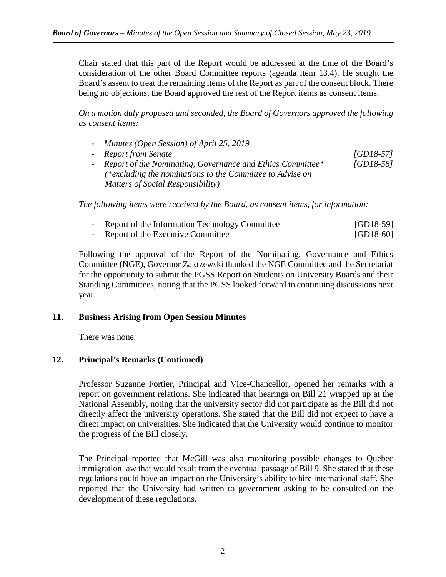Chair stated that this part of the Report would be addressed at the time of the Board's consideration of the other Board Committee reports (agenda item 13.4). He sought the Board's assent to treat the remaining items of the Report as part of the consent block. There being no objections, the Board approved the rest of the Report items as consent items.

*On a motion duly proposed and seconded, the Board of Governors approved the following as consent items:*

- *Minutes (Open Session) of April 25, 2019* - *Report from Senate [GD18-57]*
- *Report of the Nominating, Governance and Ethics Committee\* [GD18-58] (\*excluding the nominations to the Committee to Advise on Matters of Social Responsibility)*

*The following items were received by the Board, as consent items, for information:*

| Report of the Information Technology Committee | $[GD18-59]$ |
|------------------------------------------------|-------------|
| Report of the Executive Committee              | $[GD18-60]$ |

Following the approval of the Report of the Nominating, Governance and Ethics Committee (NGE), Governor Zakrzewski thanked the NGE Committee and the Secretariat for the opportunity to submit the PGSS Report on Students on University Boards and their Standing Committees, noting that the PGSS looked forward to continuing discussions next year.

### **11. Business Arising from Open Session Minutes**

There was none.

### **12. Principal's Remarks (Continued)**

Professor Suzanne Fortier, Principal and Vice-Chancellor, opened her remarks with a report on government relations. She indicated that hearings on Bill 21 wrapped up at the National Assembly, noting that the university sector did not participate as the Bill did not directly affect the university operations. She stated that the Bill did not expect to have a direct impact on universities. She indicated that the University would continue to monitor the progress of the Bill closely.

The Principal reported that McGill was also monitoring possible changes to Quebec immigration law that would result from the eventual passage of Bill 9. She stated that these regulations could have an impact on the University's ability to hire international staff. She reported that the University had written to government asking to be consulted on the development of these regulations.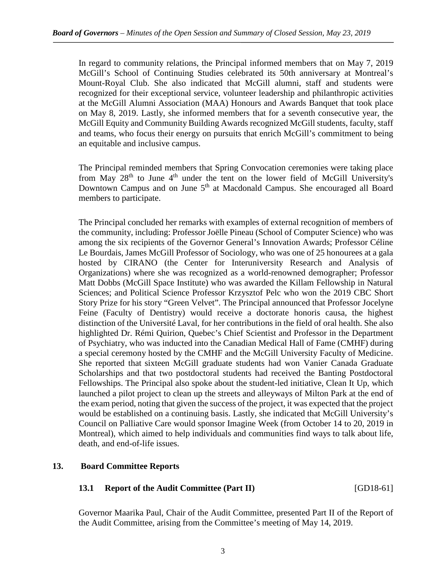In regard to community relations, the Principal informed members that on May 7, 2019 McGill's School of Continuing Studies celebrated its 50th anniversary at Montreal's Mount-Royal Club. She also indicated that McGill alumni, staff and students were recognized for their exceptional service, volunteer leadership and philanthropic activities at the McGill Alumni Association (MAA) Honours and Awards Banquet that took place on May 8, 2019. Lastly, she informed members that for a seventh consecutive year, the McGill Equity and Community Building Awards recognized McGill students, faculty, staff and teams, who focus their energy on pursuits that enrich McGill's commitment to being an equitable and inclusive campus.

The Principal reminded members that Spring Convocation ceremonies were taking place from May  $28<sup>th</sup>$  to June  $4<sup>th</sup>$  under the tent on the lower field of McGill University's Downtown Campus and on June 5<sup>th</sup> at Macdonald Campus. She encouraged all Board members to participate.

The Principal concluded her remarks with examples of external recognition of members of the community, including: Professor Joëlle Pineau (School of Computer Science) who was among the six recipients of the Governor General's Innovation Awards; Professor Céline Le Bourdais, James McGill Professor of Sociology, who was one of 25 honourees at a gala hosted by CIRANO (the Center for Interuniversity Research and Analysis of Organizations) where she was recognized as a world-renowned demographer; Professor Matt Dobbs (McGill Space Institute) who was awarded the Killam Fellowship in Natural Sciences; and Political Science Professor Krzysztof Pelc who won the 2019 CBC Short Story Prize for his story "Green Velvet". The Principal announced that Professor Jocelyne Feine (Faculty of Dentistry) would receive a doctorate honoris causa, the highest distinction of the Université Laval, for her contributions in the field of oral health. She also highlighted Dr. Rémi Quirion, Quebec's Chief Scientist and Professor in the Department of Psychiatry, who was inducted into the Canadian Medical Hall of Fame (CMHF) during a special ceremony hosted by the CMHF and the McGill University Faculty of Medicine. She reported that sixteen McGill graduate students had won Vanier Canada Graduate Scholarships and that two postdoctoral students had received the Banting Postdoctoral Fellowships. The Principal also spoke about the student-led initiative, Clean It Up, which launched a pilot project to clean up the streets and alleyways of Milton Park at the end of the exam period, noting that given the success of the project, it was expected that the project would be established on a continuing basis. Lastly, she indicated that McGill University's Council on Palliative Care would sponsor Imagine Week (from October 14 to 20, 2019 in Montreal), which aimed to help individuals and communities find ways to talk about life, death, and end-of-life issues.

#### **13. Board Committee Reports**

# **13.1 Report of the Audit Committee (Part II)** [GD18-61]

Governor Maarika Paul, Chair of the Audit Committee, presented Part II of the Report of the Audit Committee, arising from the Committee's meeting of May 14, 2019.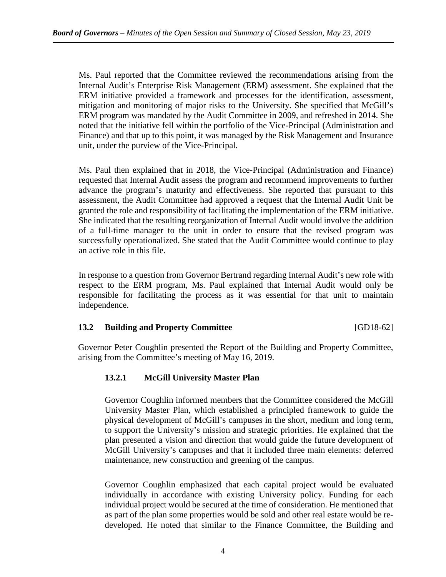Ms. Paul reported that the Committee reviewed the recommendations arising from the Internal Audit's Enterprise Risk Management (ERM) assessment. She explained that the ERM initiative provided a framework and processes for the identification, assessment, mitigation and monitoring of major risks to the University. She specified that McGill's ERM program was mandated by the Audit Committee in 2009, and refreshed in 2014. She noted that the initiative fell within the portfolio of the Vice-Principal (Administration and Finance) and that up to this point, it was managed by the Risk Management and Insurance unit, under the purview of the Vice-Principal.

Ms. Paul then explained that in 2018, the Vice-Principal (Administration and Finance) requested that Internal Audit assess the program and recommend improvements to further advance the program's maturity and effectiveness. She reported that pursuant to this assessment, the Audit Committee had approved a request that the Internal Audit Unit be granted the role and responsibility of facilitating the implementation of the ERM initiative. She indicated that the resulting reorganization of Internal Audit would involve the addition of a full-time manager to the unit in order to ensure that the revised program was successfully operationalized. She stated that the Audit Committee would continue to play an active role in this file.

In response to a question from Governor Bertrand regarding Internal Audit's new role with respect to the ERM program, Ms. Paul explained that Internal Audit would only be responsible for facilitating the process as it was essential for that unit to maintain independence.

# **13.2 Building and Property Committee** [GD18-62]

Governor Peter Coughlin presented the Report of the Building and Property Committee, arising from the Committee's meeting of May 16, 2019.

# **13.2.1 McGill University Master Plan**

Governor Coughlin informed members that the Committee considered the McGill University Master Plan, which established a principled framework to guide the physical development of McGill's campuses in the short, medium and long term, to support the University's mission and strategic priorities. He explained that the plan presented a vision and direction that would guide the future development of McGill University's campuses and that it included three main elements: deferred maintenance, new construction and greening of the campus.

Governor Coughlin emphasized that each capital project would be evaluated individually in accordance with existing University policy. Funding for each individual project would be secured at the time of consideration. He mentioned that as part of the plan some properties would be sold and other real estate would be redeveloped. He noted that similar to the Finance Committee, the Building and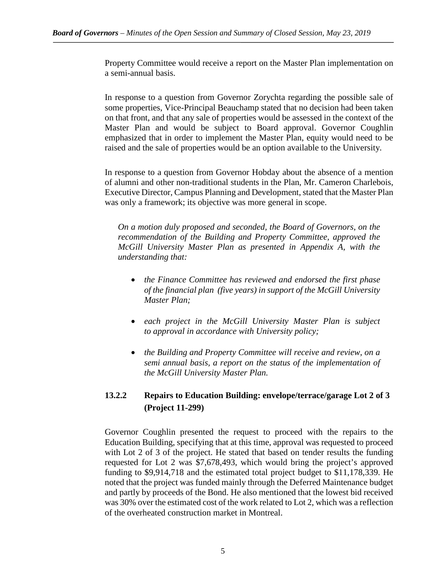Property Committee would receive a report on the Master Plan implementation on a semi-annual basis.

In response to a question from Governor Zorychta regarding the possible sale of some properties, Vice-Principal Beauchamp stated that no decision had been taken on that front, and that any sale of properties would be assessed in the context of the Master Plan and would be subject to Board approval. Governor Coughlin emphasized that in order to implement the Master Plan, equity would need to be raised and the sale of properties would be an option available to the University.

In response to a question from Governor Hobday about the absence of a mention of alumni and other non-traditional students in the Plan, Mr. Cameron Charlebois, Executive Director, Campus Planning and Development, stated that the Master Plan was only a framework; its objective was more general in scope.

*On a motion duly proposed and seconded, the Board of Governors, on the recommendation of the Building and Property Committee, approved the McGill University Master Plan as presented in Appendix A, with the understanding that:*

- *the Finance Committee has reviewed and endorsed the first phase of the financial plan (five years) in support of the McGill University Master Plan;*
- *each project in the McGill University Master Plan is subject to approval in accordance with University policy;*
- *the Building and Property Committee will receive and review, on a semi annual basis, a report on the status of the implementation of the McGill University Master Plan.*

# **13.2.2 Repairs to Education Building: envelope/terrace/garage Lot 2 of 3 (Project 11-299)**

Governor Coughlin presented the request to proceed with the repairs to the Education Building, specifying that at this time, approval was requested to proceed with Lot 2 of 3 of the project. He stated that based on tender results the funding requested for Lot 2 was \$7,678,493, which would bring the project's approved funding to \$9,914,718 and the estimated total project budget to \$11,178,339. He noted that the project was funded mainly through the Deferred Maintenance budget and partly by proceeds of the Bond. He also mentioned that the lowest bid received was 30% over the estimated cost of the work related to Lot 2, which was a reflection of the overheated construction market in Montreal.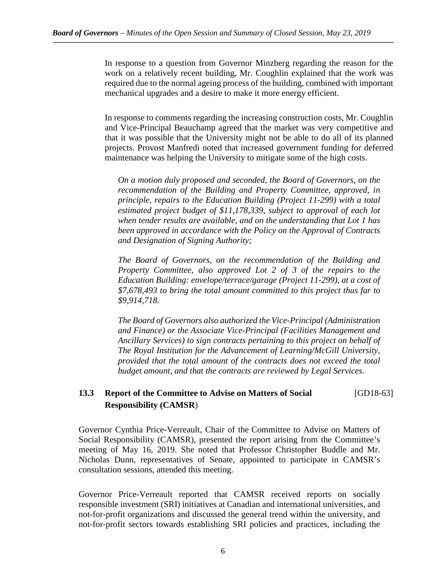In response to a question from Governor Minzberg regarding the reason for the work on a relatively recent building, Mr. Coughlin explained that the work was required due to the normal ageing process of the building, combined with important mechanical upgrades and a desire to make it more energy efficient.

In response to comments regarding the increasing construction costs, Mr. Coughlin and Vice-Principal Beauchamp agreed that the market was very competitive and that it was possible that the University might not be able to do all of its planned projects. Provost Manfredi noted that increased government funding for deferred maintenance was helping the University to mitigate some of the high costs.

*On a motion duly proposed and seconded, the Board of Governors, on the recommendation of the Building and Property Committee, approved, in principle, repairs to the Education Building (Project 11-299) with a total estimated project budget of \$11,178,339, subject to approval of each lot when tender results are available, and on the understanding that Lot 1 has been approved in accordance with the Policy on the Approval of Contracts and Designation of Signing Authority;*

*The Board of Governors, on the recommendation of the Building and Property Committee, also approved Lot 2 of 3 of the repairs to the Education Building: envelope/terrace/garage (Project 11-299), at a cost of \$7,678,493 to bring the total amount committed to this project thus far to \$9,914,718.*

*The Board of Governors also authorized the Vice-Principal (Administration and Finance) or the Associate Vice-Principal (Facilities Management and Ancillary Services) to sign contracts pertaining to this project on behalf of The Royal Institution for the Advancement of Learning/McGill University, provided that the total amount of the contracts does not exceed the total budget amount, and that the contracts are reviewed by Legal Services.*

# **13.3 Report of the Committee to Advise on Matters of Social** [GD18-63] **Responsibility (CAMSR**)

Governor Cynthia Price-Verreault, Chair of the Committee to Advise on Matters of Social Responsibility (CAMSR), presented the report arising from the Committee's meeting of May 16, 2019. She noted that Professor Christopher Buddle and Mr. Nicholas Dunn, representatives of Senate, appointed to participate in CAMSR's consultation sessions, attended this meeting.

Governor Price-Verreault reported that CAMSR received reports on socially responsible investment (SRI) initiatives at Canadian and international universities, and not-for-profit organizations and discussed the general trend within the university, and not-for-profit sectors towards establishing SRI policies and practices, including the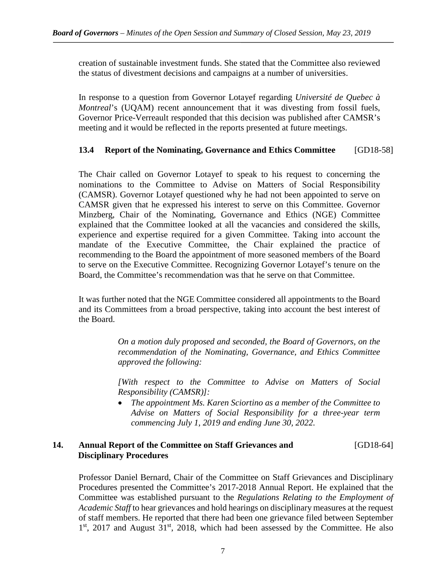creation of sustainable investment funds. She stated that the Committee also reviewed the status of divestment decisions and campaigns at a number of universities.

In response to a question from Governor Lotayef regarding *Université de Quebec à Montreal*'s (UQAM) recent announcement that it was divesting from fossil fuels, Governor Price-Verreault responded that this decision was published after CAMSR's meeting and it would be reflected in the reports presented at future meetings.

# **13.4 Report of the Nominating, Governance and Ethics Committee** [GD18-58]

The Chair called on Governor Lotayef to speak to his request to concerning the nominations to the Committee to Advise on Matters of Social Responsibility (CAMSR). Governor Lotayef questioned why he had not been appointed to serve on CAMSR given that he expressed his interest to serve on this Committee. Governor Minzberg, Chair of the Nominating, Governance and Ethics (NGE) Committee explained that the Committee looked at all the vacancies and considered the skills, experience and expertise required for a given Committee. Taking into account the mandate of the Executive Committee, the Chair explained the practice of recommending to the Board the appointment of more seasoned members of the Board to serve on the Executive Committee. Recognizing Governor Lotayef's tenure on the Board, the Committee's recommendation was that he serve on that Committee.

It was further noted that the NGE Committee considered all appointments to the Board and its Committees from a broad perspective, taking into account the best interest of the Board.

> *On a motion duly proposed and seconded, the Board of Governors, on the recommendation of the Nominating, Governance, and Ethics Committee approved the following:*

> *[With respect to the Committee to Advise on Matters of Social Responsibility (CAMSR)]:*

> • *The appointment Ms. Karen Sciortino as a member of the Committee to Advise on Matters of Social Responsibility for a three-year term commencing July 1, 2019 and ending June 30, 2022.*

### **14. Annual Report of the Committee on Staff Grievances and** [GD18-64] **Disciplinary Procedures**

Professor Daniel Bernard, Chair of the Committee on Staff Grievances and Disciplinary Procedures presented the Committee's 2017-2018 Annual Report. He explained that the Committee was established pursuant to the *Regulations Relating to the Employment of Academic Staff* to hear grievances and hold hearings on disciplinary measures at the request of staff members. He reported that there had been one grievance filed between September  $1<sup>st</sup>$ , 2017 and August  $31<sup>st</sup>$ , 2018, which had been assessed by the Committee. He also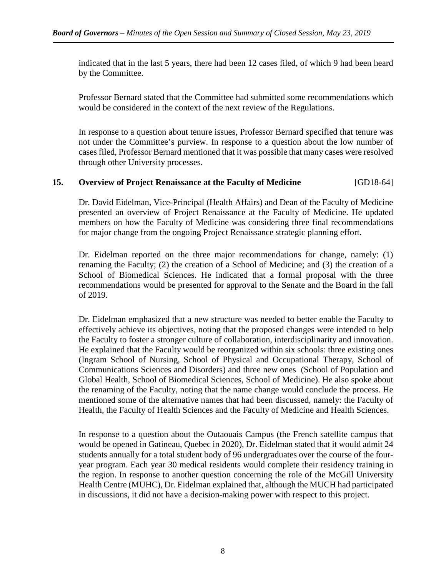indicated that in the last 5 years, there had been 12 cases filed, of which 9 had been heard by the Committee.

Professor Bernard stated that the Committee had submitted some recommendations which would be considered in the context of the next review of the Regulations.

In response to a question about tenure issues, Professor Bernard specified that tenure was not under the Committee's purview. In response to a question about the low number of cases filed, Professor Bernard mentioned that it was possible that many cases were resolved through other University processes.

### **15. Overview of Project Renaissance at the Faculty of Medicine** [GD18-64]

Dr. David Eidelman, Vice-Principal (Health Affairs) and Dean of the Faculty of Medicine presented an overview of Project Renaissance at the Faculty of Medicine. He updated members on how the Faculty of Medicine was considering three final recommendations for major change from the ongoing Project Renaissance strategic planning effort.

Dr. Eidelman reported on the three major recommendations for change, namely: (1) renaming the Faculty; (2) the creation of a School of Medicine; and (3) the creation of a School of Biomedical Sciences. He indicated that a formal proposal with the three recommendations would be presented for approval to the Senate and the Board in the fall of 2019.

Dr. Eidelman emphasized that a new structure was needed to better enable the Faculty to effectively achieve its objectives, noting that the proposed changes were intended to help the Faculty to foster a stronger culture of collaboration, interdisciplinarity and innovation. He explained that the Faculty would be reorganized within six schools: three existing ones (Ingram School of Nursing, School of Physical and Occupational Therapy, School of Communications Sciences and Disorders) and three new ones (School of Population and Global Health, School of Biomedical Sciences, School of Medicine). He also spoke about the renaming of the Faculty, noting that the name change would conclude the process. He mentioned some of the alternative names that had been discussed, namely: the Faculty of Health, the Faculty of Health Sciences and the Faculty of Medicine and Health Sciences.

In response to a question about the Outaouais Campus (the French satellite campus that would be opened in Gatineau, Quebec in 2020), Dr. Eidelman stated that it would admit 24 students annually for a total student body of 96 undergraduates over the course of the fouryear program. Each year 30 medical residents would complete their residency training in the region. In response to another question concerning the role of the McGill University Health Centre (MUHC), Dr. Eidelman explained that, although the MUCH had participated in discussions, it did not have a decision-making power with respect to this project.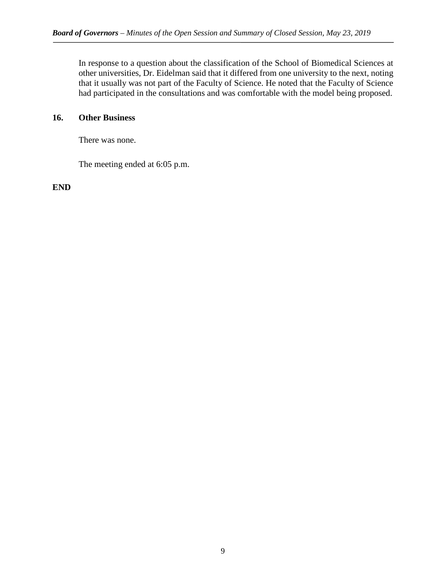In response to a question about the classification of the School of Biomedical Sciences at other universities, Dr. Eidelman said that it differed from one university to the next, noting that it usually was not part of the Faculty of Science. He noted that the Faculty of Science had participated in the consultations and was comfortable with the model being proposed.

# **16. Other Business**

There was none.

The meeting ended at 6:05 p.m.

**END**